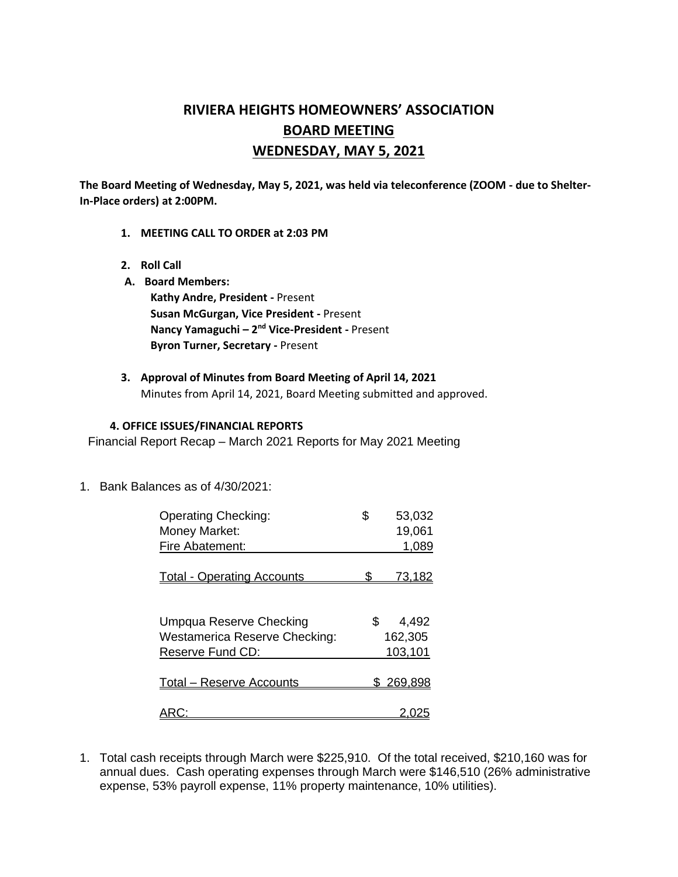# **RIVIERA HEIGHTS HOMEOWNERS' ASSOCIATION BOARD MEETING WEDNESDAY, MAY 5, 2021**

**The Board Meeting of Wednesday, May 5, 2021, was held via teleconference (ZOOM - due to Shelter-In-Place orders) at 2:00PM.** 

- **1. MEETING CALL TO ORDER at 2:03 PM**
- **2. Roll Call**
- **A. Board Members:**

**Kathy Andre, President -** Present **Susan McGurgan, Vice President -** Present **Nancy Yamaguchi – 2 nd Vice-President -** Present **Byron Turner, Secretary -** Present

**3. Approval of Minutes from Board Meeting of April 14, 2021** Minutes from April 14, 2021, Board Meeting submitted and approved.

#### **4. OFFICE ISSUES/FINANCIAL REPORTS**

Financial Report Recap – March 2021 Reports for May 2021 Meeting

1. Bank Balances as of 4/30/2021:

| <b>Operating Checking:</b>           | \$  | 53,032        |
|--------------------------------------|-----|---------------|
| Money Market:                        |     | 19,061        |
| Fire Abatement:                      |     | 1,089         |
|                                      |     |               |
| <b>Total - Operating Accounts</b>    |     | <u>73,182</u> |
|                                      |     |               |
|                                      |     |               |
| Umpqua Reserve Checking              | \$. | 4,492         |
| <b>Westamerica Reserve Checking:</b> |     | 162,305       |
| Reserve Fund CD:                     |     | 103,101       |
|                                      |     |               |
| <b>Total - Reserve Accounts</b>      |     | \$269,898     |
|                                      |     |               |
|                                      |     |               |

1. Total cash receipts through March were \$225,910. Of the total received, \$210,160 was for annual dues. Cash operating expenses through March were \$146,510 (26% administrative expense, 53% payroll expense, 11% property maintenance, 10% utilities).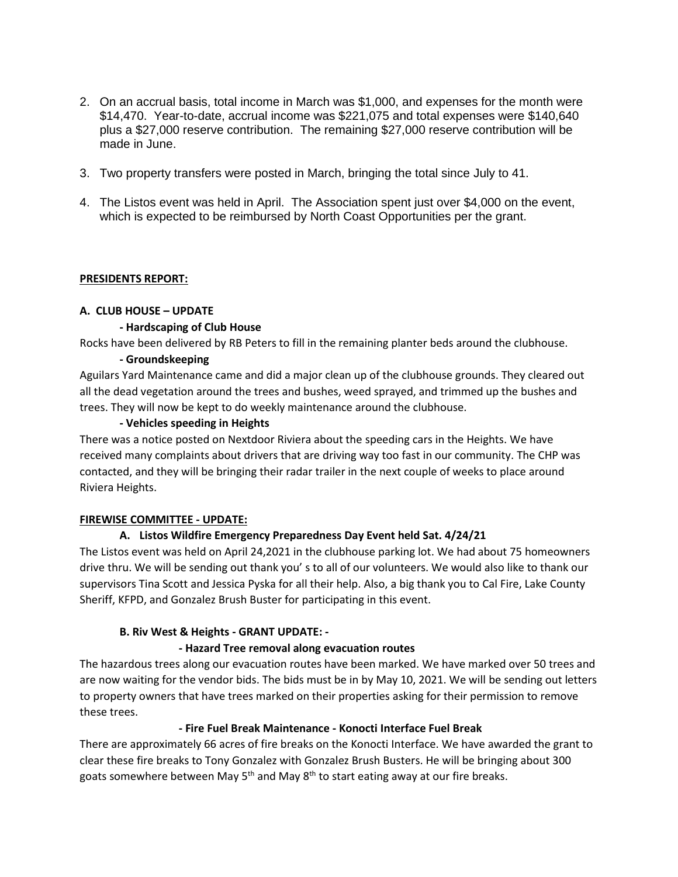- 2. On an accrual basis, total income in March was \$1,000, and expenses for the month were \$14,470. Year-to-date, accrual income was \$221,075 and total expenses were \$140,640 plus a \$27,000 reserve contribution. The remaining \$27,000 reserve contribution will be made in June.
- 3. Two property transfers were posted in March, bringing the total since July to 41.
- 4. The Listos event was held in April. The Association spent just over \$4,000 on the event, which is expected to be reimbursed by North Coast Opportunities per the grant.

## **PRESIDENTS REPORT:**

## **A. CLUB HOUSE – UPDATE**

#### **- Hardscaping of Club House**

Rocks have been delivered by RB Peters to fill in the remaining planter beds around the clubhouse.

## **- Groundskeeping**

Aguilars Yard Maintenance came and did a major clean up of the clubhouse grounds. They cleared out all the dead vegetation around the trees and bushes, weed sprayed, and trimmed up the bushes and trees. They will now be kept to do weekly maintenance around the clubhouse.

## **- Vehicles speeding in Heights**

There was a notice posted on Nextdoor Riviera about the speeding cars in the Heights. We have received many complaints about drivers that are driving way too fast in our community. The CHP was contacted, and they will be bringing their radar trailer in the next couple of weeks to place around Riviera Heights.

## **FIREWISE COMMITTEE - UPDATE:**

# **A. Listos Wildfire Emergency Preparedness Day Event held Sat. 4/24/21**

The Listos event was held on April 24,2021 in the clubhouse parking lot. We had about 75 homeowners drive thru. We will be sending out thank you' s to all of our volunteers. We would also like to thank our supervisors Tina Scott and Jessica Pyska for all their help. Also, a big thank you to Cal Fire, Lake County Sheriff, KFPD, and Gonzalez Brush Buster for participating in this event.

## **B. Riv West & Heights - GRANT UPDATE: -**

## **- Hazard Tree removal along evacuation routes**

The hazardous trees along our evacuation routes have been marked. We have marked over 50 trees and are now waiting for the vendor bids. The bids must be in by May 10, 2021. We will be sending out letters to property owners that have trees marked on their properties asking for their permission to remove these trees.

## **- Fire Fuel Break Maintenance - Konocti Interface Fuel Break**

There are approximately 66 acres of fire breaks on the Konocti Interface. We have awarded the grant to clear these fire breaks to Tony Gonzalez with Gonzalez Brush Busters. He will be bringing about 300 goats somewhere between May  $5<sup>th</sup>$  and May  $8<sup>th</sup>$  to start eating away at our fire breaks.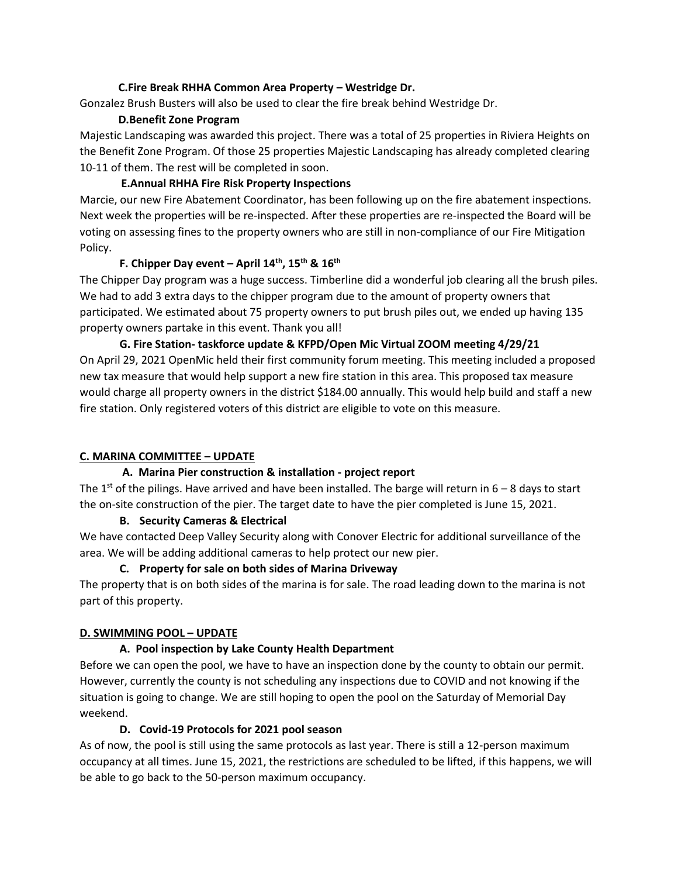## **C.Fire Break RHHA Common Area Property – Westridge Dr.**

Gonzalez Brush Busters will also be used to clear the fire break behind Westridge Dr.

## **D.Benefit Zone Program**

Majestic Landscaping was awarded this project. There was a total of 25 properties in Riviera Heights on the Benefit Zone Program. Of those 25 properties Majestic Landscaping has already completed clearing 10-11 of them. The rest will be completed in soon.

## **E.Annual RHHA Fire Risk Property Inspections**

Marcie, our new Fire Abatement Coordinator, has been following up on the fire abatement inspections. Next week the properties will be re-inspected. After these properties are re-inspected the Board will be voting on assessing fines to the property owners who are still in non-compliance of our Fire Mitigation Policy.

## **F. Chipper Day event – April 14th, 15th & 16th**

The Chipper Day program was a huge success. Timberline did a wonderful job clearing all the brush piles. We had to add 3 extra days to the chipper program due to the amount of property owners that participated. We estimated about 75 property owners to put brush piles out, we ended up having 135 property owners partake in this event. Thank you all!

**G. Fire Station- taskforce update & KFPD/Open Mic Virtual ZOOM meeting 4/29/21**  On April 29, 2021 OpenMic held their first community forum meeting. This meeting included a proposed new tax measure that would help support a new fire station in this area. This proposed tax measure would charge all property owners in the district \$184.00 annually. This would help build and staff a new fire station. Only registered voters of this district are eligible to vote on this measure.

# **C. MARINA COMMITTEE – UPDATE**

# **A. Marina Pier construction & installation - project report**

The 1<sup>st</sup> of the pilings. Have arrived and have been installed. The barge will return in  $6 - 8$  days to start the on-site construction of the pier. The target date to have the pier completed is June 15, 2021.

## **B. Security Cameras & Electrical**

We have contacted Deep Valley Security along with Conover Electric for additional surveillance of the area. We will be adding additional cameras to help protect our new pier.

# **C. Property for sale on both sides of Marina Driveway**

The property that is on both sides of the marina is for sale. The road leading down to the marina is not part of this property.

# **D. SWIMMING POOL – UPDATE**

# **A. Pool inspection by Lake County Health Department**

Before we can open the pool, we have to have an inspection done by the county to obtain our permit. However, currently the county is not scheduling any inspections due to COVID and not knowing if the situation is going to change. We are still hoping to open the pool on the Saturday of Memorial Day weekend.

## **D. Covid-19 Protocols for 2021 pool season**

As of now, the pool is still using the same protocols as last year. There is still a 12-person maximum occupancy at all times. June 15, 2021, the restrictions are scheduled to be lifted, if this happens, we will be able to go back to the 50-person maximum occupancy.